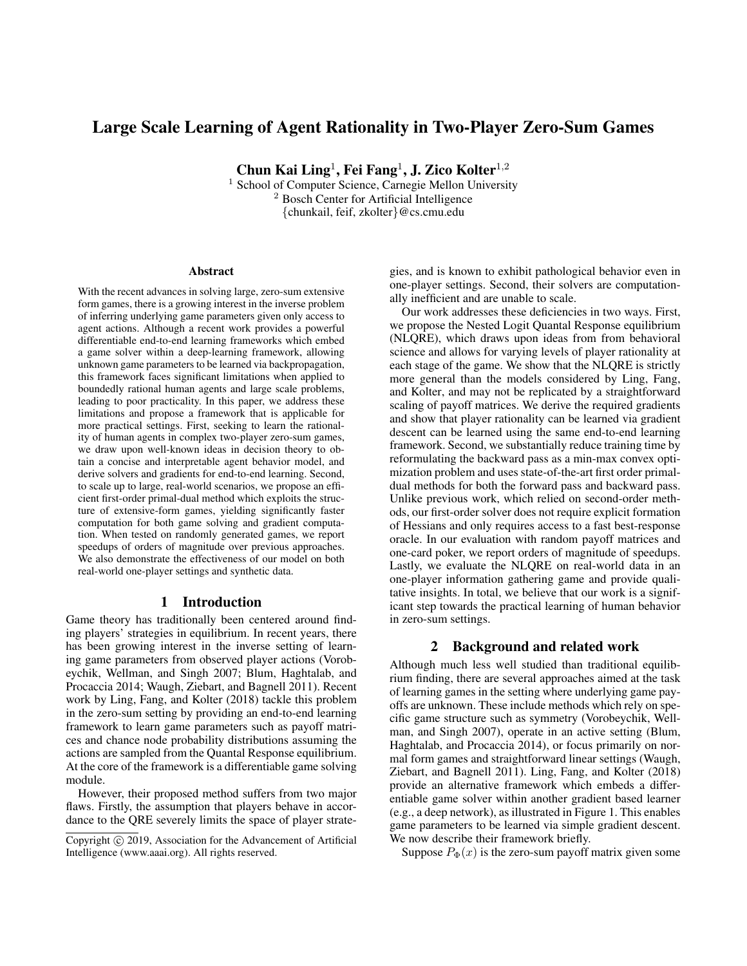# Large Scale Learning of Agent Rationality in Two-Player Zero-Sum Games

Chun Kai Ling $^1$ , Fei Fang $^1$ , J. Zico Kolter $^{1,2}$ 

<sup>1</sup> School of Computer Science, Carnegie Mellon University <sup>2</sup> Bosch Center for Artificial Intelligence {chunkail, feif, zkolter}@cs.cmu.edu

#### Abstract

With the recent advances in solving large, zero-sum extensive form games, there is a growing interest in the inverse problem of inferring underlying game parameters given only access to agent actions. Although a recent work provides a powerful differentiable end-to-end learning frameworks which embed a game solver within a deep-learning framework, allowing unknown game parameters to be learned via backpropagation, this framework faces significant limitations when applied to boundedly rational human agents and large scale problems, leading to poor practicality. In this paper, we address these limitations and propose a framework that is applicable for more practical settings. First, seeking to learn the rationality of human agents in complex two-player zero-sum games, we draw upon well-known ideas in decision theory to obtain a concise and interpretable agent behavior model, and derive solvers and gradients for end-to-end learning. Second, to scale up to large, real-world scenarios, we propose an efficient first-order primal-dual method which exploits the structure of extensive-form games, yielding significantly faster computation for both game solving and gradient computation. When tested on randomly generated games, we report speedups of orders of magnitude over previous approaches. We also demonstrate the effectiveness of our model on both real-world one-player settings and synthetic data.

## 1 Introduction

Game theory has traditionally been centered around finding players' strategies in equilibrium. In recent years, there has been growing interest in the inverse setting of learning game parameters from observed player actions (Vorobeychik, Wellman, and Singh 2007; Blum, Haghtalab, and Procaccia 2014; Waugh, Ziebart, and Bagnell 2011). Recent work by Ling, Fang, and Kolter (2018) tackle this problem in the zero-sum setting by providing an end-to-end learning framework to learn game parameters such as payoff matrices and chance node probability distributions assuming the actions are sampled from the Quantal Response equilibrium. At the core of the framework is a differentiable game solving module.

However, their proposed method suffers from two major flaws. Firstly, the assumption that players behave in accordance to the QRE severely limits the space of player strategies, and is known to exhibit pathological behavior even in one-player settings. Second, their solvers are computationally inefficient and are unable to scale.

Our work addresses these deficiencies in two ways. First, we propose the Nested Logit Quantal Response equilibrium (NLQRE), which draws upon ideas from from behavioral science and allows for varying levels of player rationality at each stage of the game. We show that the NLQRE is strictly more general than the models considered by Ling, Fang, and Kolter, and may not be replicated by a straightforward scaling of payoff matrices. We derive the required gradients and show that player rationality can be learned via gradient descent can be learned using the same end-to-end learning framework. Second, we substantially reduce training time by reformulating the backward pass as a min-max convex optimization problem and uses state-of-the-art first order primaldual methods for both the forward pass and backward pass. Unlike previous work, which relied on second-order methods, our first-order solver does not require explicit formation of Hessians and only requires access to a fast best-response oracle. In our evaluation with random payoff matrices and one-card poker, we report orders of magnitude of speedups. Lastly, we evaluate the NLQRE on real-world data in an one-player information gathering game and provide qualitative insights. In total, we believe that our work is a significant step towards the practical learning of human behavior in zero-sum settings.

#### 2 Background and related work

Although much less well studied than traditional equilibrium finding, there are several approaches aimed at the task of learning games in the setting where underlying game payoffs are unknown. These include methods which rely on specific game structure such as symmetry (Vorobeychik, Wellman, and Singh 2007), operate in an active setting (Blum, Haghtalab, and Procaccia 2014), or focus primarily on normal form games and straightforward linear settings (Waugh, Ziebart, and Bagnell 2011). Ling, Fang, and Kolter (2018) provide an alternative framework which embeds a differentiable game solver within another gradient based learner (e.g., a deep network), as illustrated in Figure 1. This enables game parameters to be learned via simple gradient descent. We now describe their framework briefly.

Suppose  $P_{\Phi}(x)$  is the zero-sum payoff matrix given some

Copyright  $\odot$  2019, Association for the Advancement of Artificial Intelligence (www.aaai.org). All rights reserved.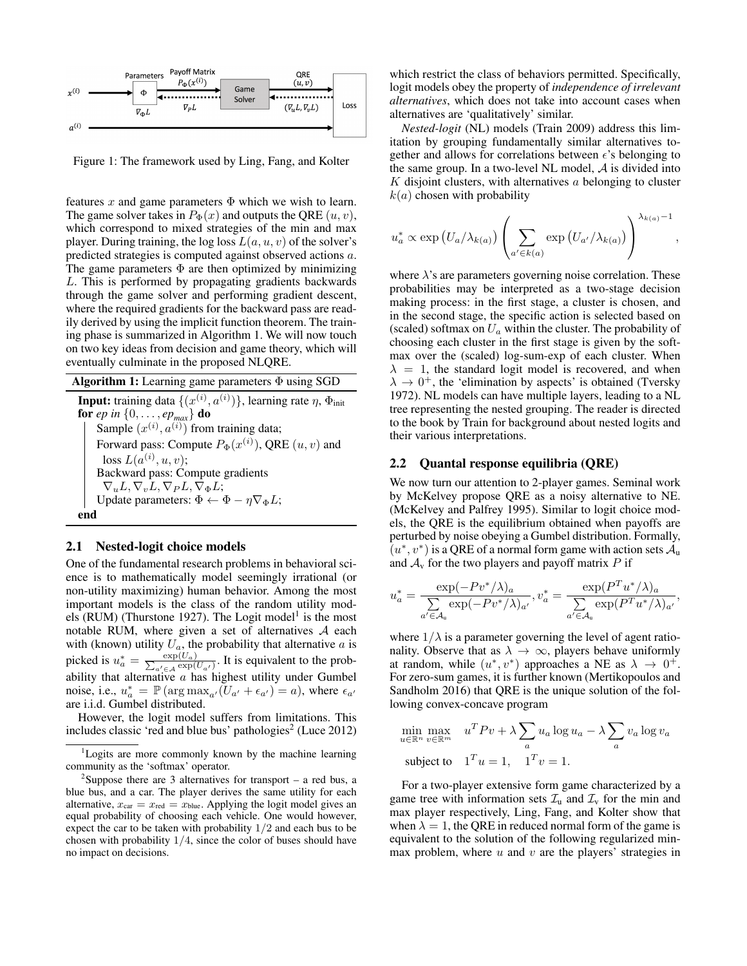

Figure 1: The framework used by Ling, Fang, and Kolter

features x and game parameters  $\Phi$  which we wish to learn. The game solver takes in  $P_{\Phi}(x)$  and outputs the QRE  $(u, v)$ , which correspond to mixed strategies of the min and max player. During training, the log loss  $L(a, u, v)$  of the solver's predicted strategies is computed against observed actions a. The game parameters  $\Phi$  are then optimized by minimizing L. This is performed by propagating gradients backwards through the game solver and performing gradient descent, where the required gradients for the backward pass are readily derived by using the implicit function theorem. The training phase is summarized in Algorithm 1. We will now touch on two key ideas from decision and game theory, which will eventually culminate in the proposed NLQRE.

Algorithm 1: Learning game parameters Φ using SGD **Input:** training data  $\{(x^{(i)}, a^{(i)})\}$ , learning rate  $\eta$ ,  $\Phi_{\text{init}}$ for *ep in*  $\{0, \ldots, ep_{max}\}\$  do Sample  $(x^{(i)}, a^{(i)})$  from training data; Forward pass: Compute  $P_{\Phi}(x^{(i)})$ , QRE  $(u, v)$  and loss  $L(a^{(i)}, u, v);$ Backward pass: Compute gradients  $\nabla_u L, \nabla_v L, \nabla_P L, \nabla_{\Phi} L;$ Update parameters:  $\Phi \leftarrow \Phi - \eta \nabla_{\Phi} L$ ; end

#### 2.1 Nested-logit choice models

One of the fundamental research problems in behavioral science is to mathematically model seemingly irrational (or non-utility maximizing) human behavior. Among the most important models is the class of the random utility models (RUM) (Thurstone 1927). The Logit model<sup>1</sup> is the most notable RUM, where given a set of alternatives  $A$  each with (known) utility  $U_a$ , the probability that alternative  $a$  is picked is  $u_a^* = \frac{\exp(U_a)}{\sum_{a' \in A} \exp(V_a)}$  $\frac{\exp(\mathcal{U}_a)}{\omega' \in \mathcal{A}} \frac{\exp(\mathcal{U}_{a'})}{\exp(\mathcal{U}_{a'})}$ . It is equivalent to the probability that alternative  $a$  has highest utility under Gumbel noise, i.e.,  $u_a^* = \mathbb{P}(\arg \max_{a'} (U_{a'} + \epsilon_{a'}) = a)$ , where  $\epsilon_{a'}$ are i.i.d. Gumbel distributed.

However, the logit model suffers from limitations. This includes classic 'red and blue bus' pathologies<sup>2</sup> (Luce 2012)

which restrict the class of behaviors permitted. Specifically, logit models obey the property of *independence of irrelevant alternatives*, which does not take into account cases when alternatives are 'qualitatively' similar.

*Nested-logit* (NL) models (Train 2009) address this limitation by grouping fundamentally similar alternatives together and allows for correlations between  $\epsilon$ 's belonging to the same group. In a two-level NL model,  $A$  is divided into  $K$  disjoint clusters, with alternatives  $a$  belonging to cluster  $k(a)$  chosen with probability

$$
u_a^* \propto \exp\left(U_a/\lambda_{k(a)}\right) \left(\sum_{a' \in k(a)} \exp\left(U_{a'}/\lambda_{k(a)}\right)\right)^{\lambda_{k(a)}-1},
$$

where  $\lambda$ 's are parameters governing noise correlation. These probabilities may be interpreted as a two-stage decision making process: in the first stage, a cluster is chosen, and in the second stage, the specific action is selected based on (scaled) softmax on  $U_a$  within the cluster. The probability of choosing each cluster in the first stage is given by the softmax over the (scaled) log-sum-exp of each cluster. When  $\lambda = 1$ , the standard logit model is recovered, and when  $\lambda \rightarrow 0^+$ , the 'elimination by aspects' is obtained (Tversky 1972). NL models can have multiple layers, leading to a NL tree representing the nested grouping. The reader is directed to the book by Train for background about nested logits and their various interpretations.

#### 2.2 Quantal response equilibria (QRE)

We now turn our attention to 2-player games. Seminal work by McKelvey propose QRE as a noisy alternative to NE. (McKelvey and Palfrey 1995). Similar to logit choice models, the QRE is the equilibrium obtained when payoffs are perturbed by noise obeying a Gumbel distribution. Formally,  $(u^*, v^*)$  is a QRE of a normal form game with action sets  $\mathcal{A}_u$ and  $A_v$  for the two players and payoff matrix P if

$$
u_a^* = \frac{\exp(-Pv^*/\lambda)_a}{\sum_{a' \in \mathcal{A}_u} \exp(-Pv^*/\lambda)_{a'}}, v_a^* = \frac{\exp(P^T u^*/\lambda)_a}{\sum_{a' \in \mathcal{A}_u} \exp(P^T u^*/\lambda)_{a'}},
$$

where  $1/\lambda$  is a parameter governing the level of agent rationality. Observe that as  $\lambda \to \infty$ , players behave uniformly at random, while  $(u^*, v^*)$  approaches a NE as  $\lambda \rightarrow 0^+$ . For zero-sum games, it is further known (Mertikopoulos and Sandholm 2016) that QRE is the unique solution of the following convex-concave program

$$
\min_{u \in \mathbb{R}^n} \max_{v \in \mathbb{R}^m} \quad u^T P v + \lambda \sum_a u_a \log u_a - \lambda \sum_a v_a \log v_a
$$
\n
$$
\text{subject to} \quad 1^T u = 1, \quad 1^T v = 1.
$$

For a two-player extensive form game characterized by a game tree with information sets  $\mathcal{I}_u$  and  $\mathcal{I}_v$  for the min and max player respectively, Ling, Fang, and Kolter show that when  $\lambda = 1$ , the QRE in reduced normal form of the game is equivalent to the solution of the following regularized minmax problem, where  $u$  and  $v$  are the players' strategies in

<sup>&</sup>lt;sup>1</sup>Logits are more commonly known by the machine learning community as the 'softmax' operator.

<sup>&</sup>lt;sup>2</sup>Suppose there are 3 alternatives for transport – a red bus, a blue bus, and a car. The player derives the same utility for each alternative,  $x_{\text{car}} = x_{\text{red}} = x_{\text{blue}}$ . Applying the logit model gives an equal probability of choosing each vehicle. One would however, expect the car to be taken with probability 1/2 and each bus to be chosen with probability  $1/4$ , since the color of buses should have no impact on decisions.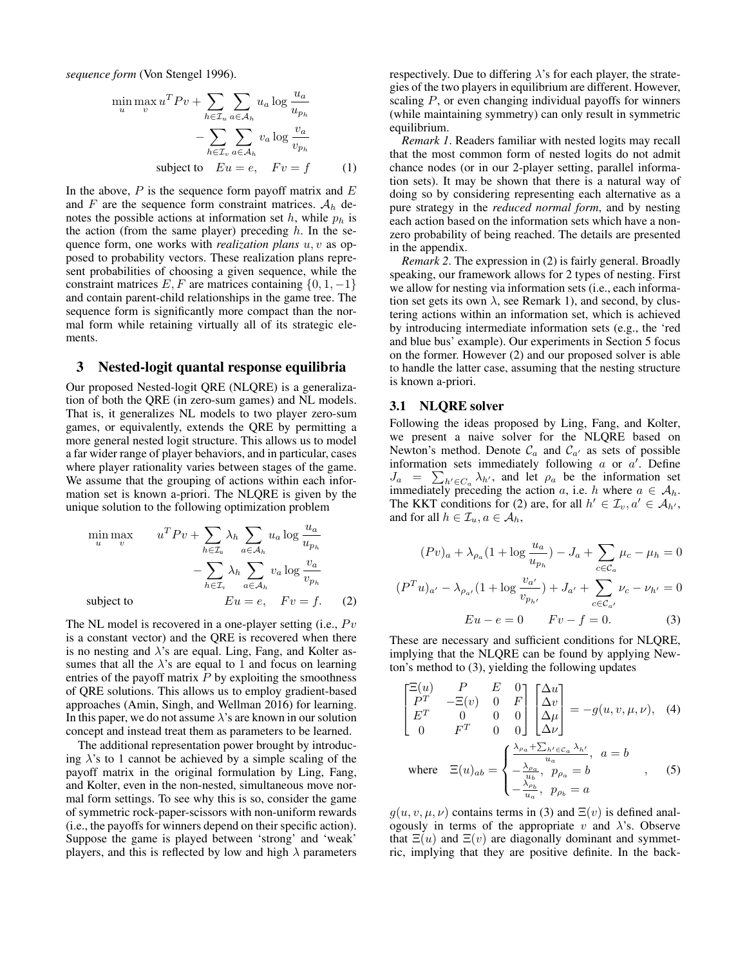*sequence form* (Von Stengel 1996).

$$
\min_{u} \max_{v} u^{T} P v + \sum_{h \in \mathcal{I}_{u}} \sum_{a \in \mathcal{A}_{h}} u_{a} \log \frac{u_{a}}{u_{p_{h}}}
$$

$$
- \sum_{h \in \mathcal{I}_{v}} \sum_{a \in \mathcal{A}_{h}} v_{a} \log \frac{v_{a}}{v_{p_{h}}}
$$
  
subject to  $E u = e$ ,  $F v = f$  (1)

In the above,  $P$  is the sequence form payoff matrix and  $E$ and F are the sequence form constraint matrices.  $A_h$  denotes the possible actions at information set h, while  $p_h$  is the action (from the same player) preceding  $h$ . In the sequence form, one works with *realization plans* u, v as opposed to probability vectors. These realization plans represent probabilities of choosing a given sequence, while the constraint matrices E, F are matrices containing  $\{0, 1, -1\}$ and contain parent-child relationships in the game tree. The sequence form is significantly more compact than the normal form while retaining virtually all of its strategic elements.

## 3 Nested-logit quantal response equilibria

Our proposed Nested-logit QRE (NLQRE) is a generalization of both the QRE (in zero-sum games) and NL models. That is, it generalizes NL models to two player zero-sum games, or equivalently, extends the QRE by permitting a more general nested logit structure. This allows us to model a far wider range of player behaviors, and in particular, cases where player rationality varies between stages of the game. We assume that the grouping of actions within each information set is known a-priori. The NLQRE is given by the unique solution to the following optimization problem

$$
\min_{u} \max_{v} \qquad u^T P v + \sum_{h \in \mathcal{I}_u} \lambda_h \sum_{a \in \mathcal{A}_h} u_a \log \frac{u_a}{u_{p_h}}
$$
\n
$$
- \sum_{h \in \mathcal{I}_v} \lambda_h \sum_{a \in \mathcal{A}_h} v_a \log \frac{v_a}{v_{p_h}}
$$
\n
$$
\text{subject to} \qquad E u = e, \quad F v = f. \tag{2}
$$

The NL model is recovered in a one-player setting (i.e.,  $Pv$ ) is a constant vector) and the QRE is recovered when there is no nesting and  $\lambda$ 's are equal. Ling, Fang, and Kolter assumes that all the  $\lambda$ 's are equal to 1 and focus on learning entries of the payoff matrix  $P$  by exploiting the smoothness of QRE solutions. This allows us to employ gradient-based approaches (Amin, Singh, and Wellman 2016) for learning. In this paper, we do not assume  $\lambda$ 's are known in our solution concept and instead treat them as parameters to be learned.

The additional representation power brought by introducing  $\lambda$ 's to 1 cannot be achieved by a simple scaling of the payoff matrix in the original formulation by Ling, Fang, and Kolter, even in the non-nested, simultaneous move normal form settings. To see why this is so, consider the game of symmetric rock-paper-scissors with non-uniform rewards (i.e., the payoffs for winners depend on their specific action). Suppose the game is played between 'strong' and 'weak' players, and this is reflected by low and high  $\lambda$  parameters

respectively. Due to differing  $\lambda$ 's for each player, the strategies of the two players in equilibrium are different. However, scaling  $P$ , or even changing individual payoffs for winners (while maintaining symmetry) can only result in symmetric equilibrium.

*Remark 1*. Readers familiar with nested logits may recall that the most common form of nested logits do not admit chance nodes (or in our 2-player setting, parallel information sets). It may be shown that there is a natural way of doing so by considering representing each alternative as a pure strategy in the *reduced normal form*, and by nesting each action based on the information sets which have a nonzero probability of being reached. The details are presented in the appendix.

*Remark 2*. The expression in (2) is fairly general. Broadly speaking, our framework allows for 2 types of nesting. First we allow for nesting via information sets (i.e., each information set gets its own  $\lambda$ , see Remark 1), and second, by clustering actions within an information set, which is achieved by introducing intermediate information sets (e.g., the 'red and blue bus' example). Our experiments in Section 5 focus on the former. However (2) and our proposed solver is able to handle the latter case, assuming that the nesting structure is known a-priori.

#### 3.1 NLQRE solver

 $\left($ 

Following the ideas proposed by Ling, Fang, and Kolter, we present a naive solver for the NLQRE based on Newton's method. Denote  $C_a$  and  $C_{a'}$  as sets of possible information sets immediately following  $a$  or  $a'$ . Define  $J_a = \sum_{h' \in C_a} \lambda_{h'}$ , and let  $\rho_a$  be the information set immediately preceding the action a, i.e. h where  $a \in A_h$ . The KKT conditions for (2) are, for all  $h' \in \mathcal{I}_v, a' \in \mathcal{A}_{h'}$ , and for all  $h \in \mathcal{I}_u, a \in \mathcal{A}_h$ ,

$$
(Pv)_a + \lambda_{\rho_a} (1 + \log \frac{u_a}{u_{p_h}}) - J_a + \sum_{c \in C_a} \mu_c - \mu_h = 0
$$
  

$$
P^T u)_{a'} - \lambda_{\rho_{a'}} (1 + \log \frac{v_{a'}}{v_{p_{h'}}}) + J_{a'} + \sum_{c \in C_{a'}} \nu_c - \nu_{h'} = 0
$$
  

$$
Eu - e = 0 \qquad Fv - f = 0.
$$
 (3)

These are necessary and sufficient conditions for NLQRE, implying that the NLQRE can be found by applying Newton's method to (3), yielding the following updates

$$
\begin{bmatrix}\n\Xi(u) & P & E & 0 \\
P^T & -\Xi(v) & 0 & F \\
E^T & 0 & 0 & 0 \\
0 & F^T & 0 & 0\n\end{bmatrix}\n\begin{bmatrix}\n\Delta u \\
\Delta v \\
\Delta \mu \\
\Delta \nu\n\end{bmatrix} = -g(u, v, \mu, \nu), \quad (4)
$$
\nwhere\n
$$
\Xi(u)_{ab} = \begin{cases}\n\frac{\lambda_{\rho_a} + \sum_{h' \in C_a} \lambda_{h'}}{u_a}, & a = b \\
-\frac{\lambda_{\rho_a}}{u_a}, & p_{\rho_a} = b \\
-\frac{\lambda_{\rho_b}}{u_a}, & p_{\rho_b} = a\n\end{cases}
$$
, (5)

 $g(u, v, \mu, \nu)$  contains terms in (3) and  $\Xi(v)$  is defined analogously in terms of the appropriate v and  $\lambda$ 's. Observe that  $\Xi(u)$  and  $\Xi(v)$  are diagonally dominant and symmetric, implying that they are positive definite. In the back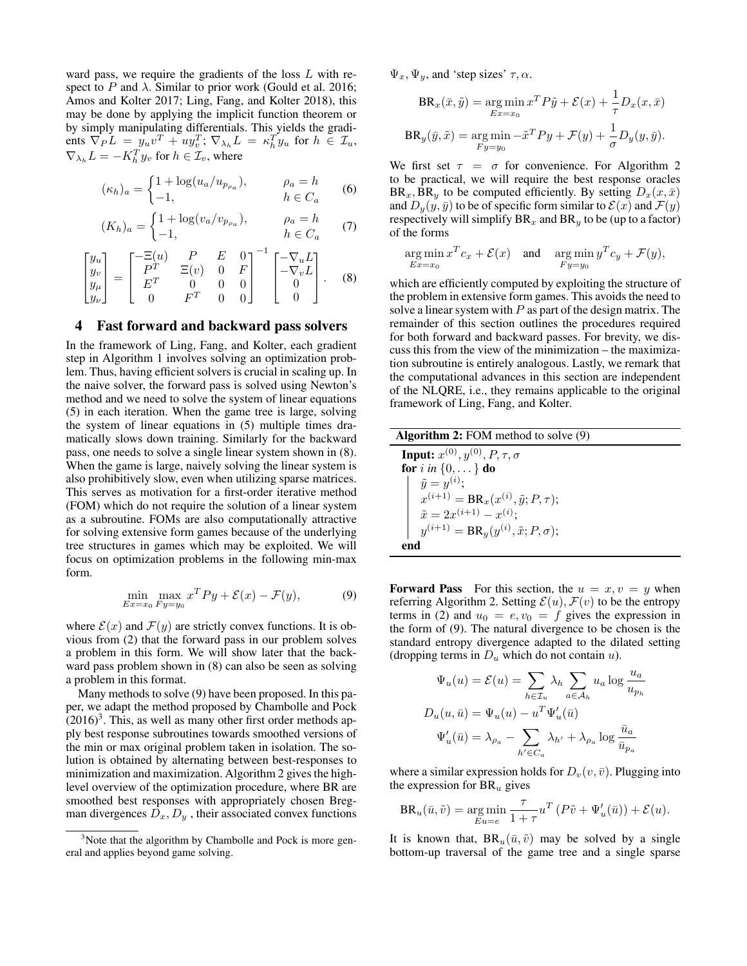ward pass, we require the gradients of the loss L with respect to P and  $\lambda$ . Similar to prior work (Gould et al. 2016; Amos and Kolter 2017; Ling, Fang, and Kolter 2018), this may be done by applying the implicit function theorem or by simply manipulating differentials. This yields the gradients  $\nabla_P L = y_u v^T + u y_v^T$ ;  $\nabla_{\lambda_h} L = \kappa_h^T y_u$  for  $h \in \mathcal{I}_u$ ,  $\nabla_{\lambda_h} L = -K_h^T y_v$  for  $h \in \mathcal{I}_v$ , where

$$
(\kappa_h)_a = \begin{cases} 1 + \log(u_a/u_{p_{\rho_a}}), & \rho_a = h \\ -1, & h \in C_a \end{cases}
$$
 (6)

$$
(K_h)_a = \begin{cases} 1 + \log(v_a/v_{p_{\rho_a}}), & \rho_a = h \\ -1, & h \in C_a \end{cases}
$$
 (7)

$$
\begin{bmatrix} y_u \\ y_v \\ y_\mu \\ y_\nu \end{bmatrix} = \begin{bmatrix} -\Xi(u) & P & E & 0 \\ P^T & \Xi(v) & 0 & F \\ E^T & 0 & 0 & 0 \\ 0 & F^T & 0 & 0 \end{bmatrix}^{-1} \begin{bmatrix} -\nabla_u L \\ -\nabla_v L \\ 0 \\ 0 \end{bmatrix}.
$$
 (8)

#### 4 Fast forward and backward pass solvers

In the framework of Ling, Fang, and Kolter, each gradient step in Algorithm 1 involves solving an optimization problem. Thus, having efficient solvers is crucial in scaling up. In the naive solver, the forward pass is solved using Newton's method and we need to solve the system of linear equations (5) in each iteration. When the game tree is large, solving the system of linear equations in (5) multiple times dramatically slows down training. Similarly for the backward pass, one needs to solve a single linear system shown in (8). When the game is large, naively solving the linear system is also prohibitively slow, even when utilizing sparse matrices. This serves as motivation for a first-order iterative method (FOM) which do not require the solution of a linear system as a subroutine. FOMs are also computationally attractive for solving extensive form games because of the underlying tree structures in games which may be exploited. We will focus on optimization problems in the following min-max form.

$$
\min_{Ex=x_0} \max_{F y=y_0} x^T P y + \mathcal{E}(x) - \mathcal{F}(y),
$$
\n(9)

where  $\mathcal{E}(x)$  and  $\mathcal{F}(y)$  are strictly convex functions. It is obvious from (2) that the forward pass in our problem solves a problem in this form. We will show later that the backward pass problem shown in (8) can also be seen as solving a problem in this format.

Many methods to solve (9) have been proposed. In this paper, we adapt the method proposed by Chambolle and Pock  $(2016)^3$ . This, as well as many other first order methods apply best response subroutines towards smoothed versions of the min or max original problem taken in isolation. The solution is obtained by alternating between best-responses to minimization and maximization. Algorithm 2 gives the highlevel overview of the optimization procedure, where BR are smoothed best responses with appropriately chosen Bregman divergences  $D_x, D_y$ , their associated convex functions  $\Psi_x, \Psi_y$ , and 'step sizes'  $\tau, \alpha$ .

$$
BR_x(\bar{x}, \tilde{y}) = \underset{Ex = x_0}{\arg \min} x^T P \tilde{y} + \mathcal{E}(x) + \frac{1}{\tau} D_x(x, \bar{x})
$$

$$
BR_y(\bar{y}, \tilde{x}) = \underset{F_y = y_0}{\arg \min} -\tilde{x}^T P y + \mathcal{F}(y) + \frac{1}{\sigma} D_y(y, \bar{y}).
$$

We first set  $\tau = \sigma$  for convenience. For Algorithm 2 to be practical, we will require the best response oracles  $BR_x, BR_y$  to be computed efficiently. By setting  $D_x(x, \bar{x})$ and  $D_y(y, \bar{y})$  to be of specific form similar to  $\mathcal{E}(x)$  and  $\mathcal{F}(y)$ respectively will simplify  $BR_x$  and  $BR_y$  to be (up to a factor) of the forms

$$
\argmin_{Ex = x_0} x^T c_x + \mathcal{E}(x) \quad \text{and} \quad \argmin_{F y = y_0} y^T c_y + \mathcal{F}(y),
$$

which are efficiently computed by exploiting the structure of the problem in extensive form games. This avoids the need to solve a linear system with  $P$  as part of the design matrix. The remainder of this section outlines the procedures required for both forward and backward passes. For brevity, we discuss this from the view of the minimization – the maximization subroutine is entirely analogous. Lastly, we remark that the computational advances in this section are independent of the NLQRE, i.e., they remains applicable to the original framework of Ling, Fang, and Kolter.

| <b>Algorithm 2:</b> FOM method to solve $(9)$      |
|----------------------------------------------------|
| <b>Input:</b> $x^{(0)}, y^{(0)}, P, \tau, \sigma$  |
| for i in $\{0, \ldots\}$ do                        |
| $\tilde{y} = y^{(i)}$ ;                            |
| $x^{(i+1)} = BR_x(x^{(i)}, \tilde{y}; P, \tau);$   |
| $\tilde{x} = 2x^{(i+1)} - x^{(i)};$                |
| $y^{(i+1)} = BR_y(y^{(i)}, \tilde{x}; P, \sigma);$ |
| end                                                |

**Forward Pass** For this section, the  $u = x, v = y$  when referring Algorithm 2. Setting  $\mathcal{E}(u)$ ,  $\mathcal{F}(v)$  to be the entropy terms in (2) and  $u_0 = e, v_0 = f$  gives the expression in the form of (9). The natural divergence to be chosen is the standard entropy divergence adapted to the dilated setting (dropping terms in  $D_u$  which do not contain u).

$$
\Psi_u(u) = \mathcal{E}(u) = \sum_{h \in \mathcal{I}_u} \lambda_h \sum_{a \in \mathcal{A}_h} u_a \log \frac{u_a}{u_{p_h}}
$$

$$
D_u(u, \bar{u}) = \Psi_u(u) - u^T \Psi'_u(\bar{u})
$$

$$
\Psi'_u(\bar{u}) = \lambda_{\rho_a} - \sum_{h' \in C_a} \lambda_{h'} + \lambda_{\rho_a} \log \frac{\bar{u}_a}{\bar{u}_{p_a}}
$$

where a similar expression holds for  $D_v(v, \bar{v})$ . Plugging into the expression for  $BR_u$  gives

$$
BR_u(\bar{u}, \tilde{v}) = \underset{Eu=e}{\arg\min} \frac{\tau}{1+\tau} u^T \left( P\tilde{v} + \Psi'_u(\bar{u}) \right) + \mathcal{E}(u).
$$

It is known that,  $BR_u(\bar{u}, \tilde{v})$  may be solved by a single bottom-up traversal of the game tree and a single sparse

<sup>&</sup>lt;sup>3</sup>Note that the algorithm by Chambolle and Pock is more general and applies beyond game solving.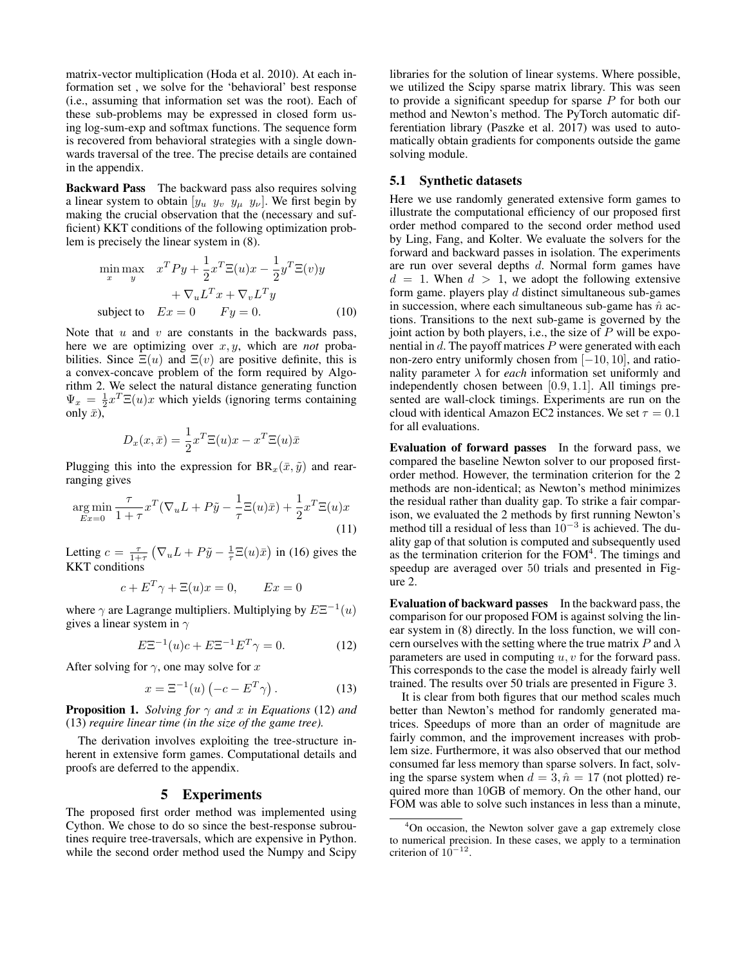matrix-vector multiplication (Hoda et al. 2010). At each information set , we solve for the 'behavioral' best response (i.e., assuming that information set was the root). Each of these sub-problems may be expressed in closed form using log-sum-exp and softmax functions. The sequence form is recovered from behavioral strategies with a single downwards traversal of the tree. The precise details are contained in the appendix.

Backward Pass The backward pass also requires solving a linear system to obtain  $[y_u \ y_v \ y_\mu \ y_\nu]$ . We first begin by making the crucial observation that the (necessary and sufficient) KKT conditions of the following optimization problem is precisely the linear system in (8).

$$
\min_{x} \max_{y} \quad x^T P y + \frac{1}{2} x^T \Xi(u) x - \frac{1}{2} y^T \Xi(v) y
$$

$$
+ \nabla_u L^T x + \nabla_v L^T y
$$
  
subject to 
$$
Ex = 0 \qquad Fy = 0. \tag{10}
$$

Note that  $u$  and  $v$  are constants in the backwards pass, here we are optimizing over x, y, which are *not* probabilities. Since  $\Xi(u)$  and  $\Xi(v)$  are positive definite, this is a convex-concave problem of the form required by Algorithm 2. We select the natural distance generating function  $\Psi_x = \frac{1}{2}x^T \Xi(u)x$  which yields (ignoring terms containing only  $\bar{x}$ ),

$$
D_x(x,\bar{x}) = \frac{1}{2}x^T \Xi(u)x - x^T \Xi(u)\bar{x}
$$

Plugging this into the expression for  $BR_x(\bar{x}, \tilde{y})$  and rearranging gives

$$
\underset{Ex=0}{\arg\min} \frac{\tau}{1+\tau} x^T (\nabla_u L + P\tilde{y} - \frac{1}{\tau} \Xi(u)\bar{x}) + \frac{1}{2} x^T \Xi(u)x
$$
\n(11)

Letting  $c = \frac{\tau}{1+\tau} \left( \nabla_u L + P \tilde{y} - \frac{1}{\tau} \Xi(u) \bar{x} \right)$  in (16) gives the KKT conditions

$$
c + E^T \gamma + \Xi(u)x = 0, \qquad Ex = 0
$$

where  $\gamma$  are Lagrange multipliers. Multiplying by  $E\Xi^{-1}(u)$ gives a linear system in  $\gamma$ 

$$
E\Xi^{-1}(u)c + E\Xi^{-1}E^{T}\gamma = 0.
$$
 (12)

After solving for  $\gamma$ , one may solve for x

$$
x = \Xi^{-1}(u) \left( -c - E^T \gamma \right). \tag{13}
$$

**Proposition 1.** *Solving for*  $\gamma$  *and* x *in Equations* (12) *and* (13) *require linear time (in the size of the game tree).*

The derivation involves exploiting the tree-structure inherent in extensive form games. Computational details and proofs are deferred to the appendix.

#### 5 Experiments

The proposed first order method was implemented using Cython. We chose to do so since the best-response subroutines require tree-traversals, which are expensive in Python. while the second order method used the Numpy and Scipy

libraries for the solution of linear systems. Where possible, we utilized the Scipy sparse matrix library. This was seen to provide a significant speedup for sparse  $P$  for both our method and Newton's method. The PyTorch automatic differentiation library (Paszke et al. 2017) was used to automatically obtain gradients for components outside the game solving module.

## 5.1 Synthetic datasets

Here we use randomly generated extensive form games to illustrate the computational efficiency of our proposed first order method compared to the second order method used by Ling, Fang, and Kolter. We evaluate the solvers for the forward and backward passes in isolation. The experiments are run over several depths d. Normal form games have  $d = 1$ . When  $d > 1$ , we adopt the following extensive form game. players play  $d$  distinct simultaneous sub-games in succession, where each simultaneous sub-game has  $\hat{n}$  actions. Transitions to the next sub-game is governed by the joint action by both players, i.e., the size of  $P$  will be exponential in  $d$ . The payoff matrices  $P$  were generated with each non-zero entry uniformly chosen from [−10, 10], and rationality parameter  $\lambda$  for *each* information set uniformly and independently chosen between [0.9, 1.1]. All timings presented are wall-clock timings. Experiments are run on the cloud with identical Amazon EC2 instances. We set  $\tau = 0.1$ for all evaluations.

Evaluation of forward passes In the forward pass, we compared the baseline Newton solver to our proposed firstorder method. However, the termination criterion for the 2 methods are non-identical; as Newton's method minimizes the residual rather than duality gap. To strike a fair comparison, we evaluated the 2 methods by first running Newton's method till a residual of less than  $10^{-3}$  is achieved. The duality gap of that solution is computed and subsequently used as the termination criterion for the FOM<sup>4</sup>. The timings and speedup are averaged over 50 trials and presented in Figure 2.

Evaluation of backward passes In the backward pass, the comparison for our proposed FOM is against solving the linear system in (8) directly. In the loss function, we will concern ourselves with the setting where the true matrix P and  $\lambda$ parameters are used in computing  $u, v$  for the forward pass. This corresponds to the case the model is already fairly well trained. The results over 50 trials are presented in Figure 3.

It is clear from both figures that our method scales much better than Newton's method for randomly generated matrices. Speedups of more than an order of magnitude are fairly common, and the improvement increases with problem size. Furthermore, it was also observed that our method consumed far less memory than sparse solvers. In fact, solving the sparse system when  $d = 3$ ,  $\hat{n} = 17$  (not plotted) required more than 10GB of memory. On the other hand, our FOM was able to solve such instances in less than a minute,

 $4$ On occasion, the Newton solver gave a gap extremely close to numerical precision. In these cases, we apply to a termination criterion of  $10^{-12}$ .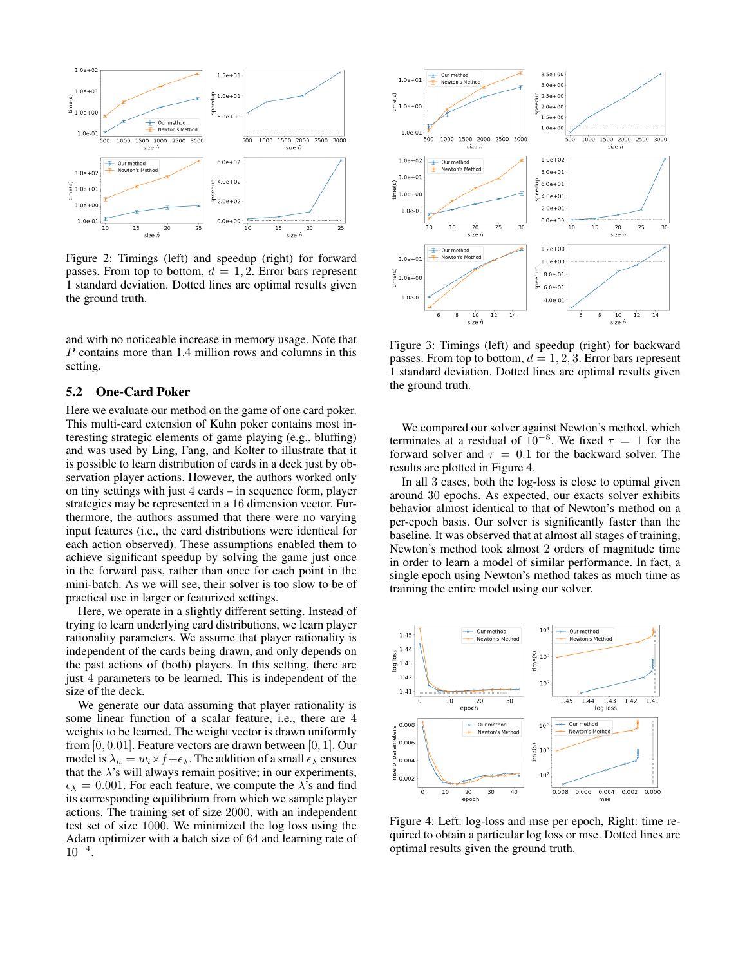

Figure 2: Timings (left) and speedup (right) for forward passes. From top to bottom,  $d = 1, 2$ . Error bars represent 1 standard deviation. Dotted lines are optimal results given the ground truth.

and with no noticeable increase in memory usage. Note that P contains more than 1.4 million rows and columns in this setting.

#### 5.2 One-Card Poker

Here we evaluate our method on the game of one card poker. This multi-card extension of Kuhn poker contains most interesting strategic elements of game playing (e.g., bluffing) and was used by Ling, Fang, and Kolter to illustrate that it is possible to learn distribution of cards in a deck just by observation player actions. However, the authors worked only on tiny settings with just 4 cards – in sequence form, player strategies may be represented in a 16 dimension vector. Furthermore, the authors assumed that there were no varying input features (i.e., the card distributions were identical for each action observed). These assumptions enabled them to achieve significant speedup by solving the game just once in the forward pass, rather than once for each point in the mini-batch. As we will see, their solver is too slow to be of practical use in larger or featurized settings.

Here, we operate in a slightly different setting. Instead of trying to learn underlying card distributions, we learn player rationality parameters. We assume that player rationality is independent of the cards being drawn, and only depends on the past actions of (both) players. In this setting, there are just 4 parameters to be learned. This is independent of the size of the deck.

We generate our data assuming that player rationality is some linear function of a scalar feature, i.e., there are 4 weights to be learned. The weight vector is drawn uniformly from  $[0, 0.01]$ . Feature vectors are drawn between  $[0, 1]$ . Our model is  $\lambda_h = w_i \times f + \epsilon_\lambda$ . The addition of a small  $\epsilon_\lambda$  ensures that the  $\lambda$ 's will always remain positive; in our experiments,  $\epsilon_{\lambda} = 0.001$ . For each feature, we compute the  $\lambda$ 's and find its corresponding equilibrium from which we sample player actions. The training set of size 2000, with an independent test set of size 1000. We minimized the log loss using the Adam optimizer with a batch size of 64 and learning rate of  $10^{-4}$ .



Figure 3: Timings (left) and speedup (right) for backward passes. From top to bottom,  $d = 1, 2, 3$ . Error bars represent 1 standard deviation. Dotted lines are optimal results given the ground truth.

We compared our solver against Newton's method, which terminates at a residual of  $10^{-8}$ . We fixed  $\tau = 1$  for the forward solver and  $\tau = 0.1$  for the backward solver. The results are plotted in Figure 4.

In all 3 cases, both the log-loss is close to optimal given around 30 epochs. As expected, our exacts solver exhibits behavior almost identical to that of Newton's method on a per-epoch basis. Our solver is significantly faster than the baseline. It was observed that at almost all stages of training, Newton's method took almost 2 orders of magnitude time in order to learn a model of similar performance. In fact, a single epoch using Newton's method takes as much time as training the entire model using our solver.



Figure 4: Left: log-loss and mse per epoch, Right: time required to obtain a particular log loss or mse. Dotted lines are optimal results given the ground truth.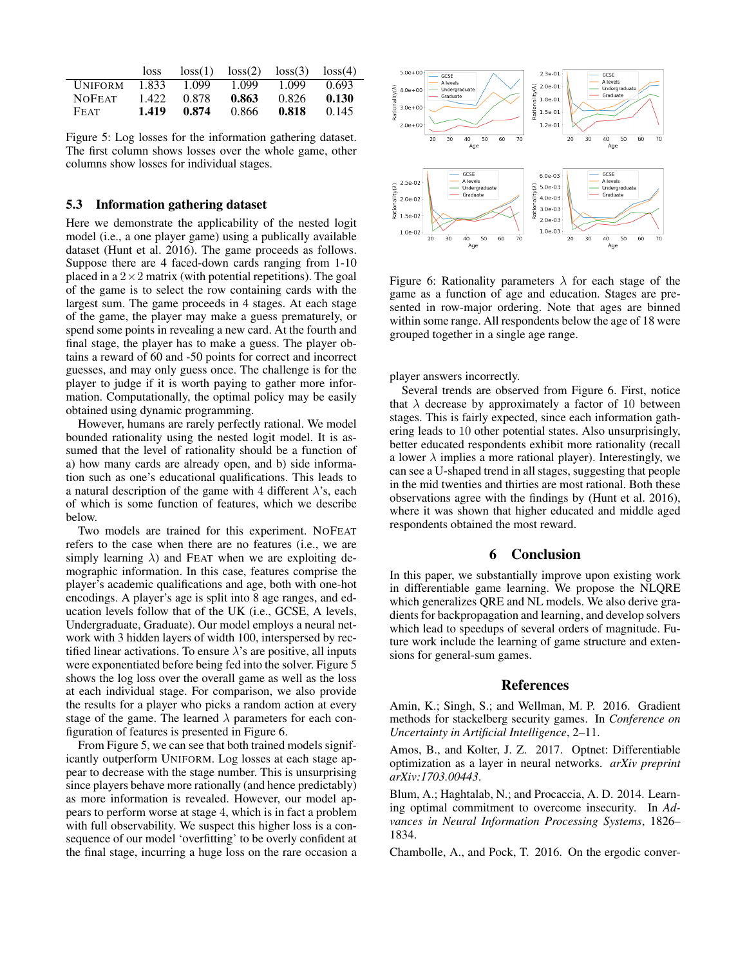|                | loss. | loss(1) | loss(2) | loss(3) | loss(4) |
|----------------|-------|---------|---------|---------|---------|
| <b>UNIFORM</b> | 1.833 | 1.099   | 1.099   | 1.099   | 0.693   |
| <b>NOFEAT</b>  | 1.422 | 0.878   | 0.863   | 0.826   | 0.130   |
| FEAT           | 1.419 | 0.874   | 0.866   | 0.818   | 0.145   |

Figure 5: Log losses for the information gathering dataset. The first column shows losses over the whole game, other columns show losses for individual stages.

#### 5.3 Information gathering dataset

Here we demonstrate the applicability of the nested logit model (i.e., a one player game) using a publically available dataset (Hunt et al. 2016). The game proceeds as follows. Suppose there are 4 faced-down cards ranging from 1-10 placed in a  $2 \times 2$  matrix (with potential repetitions). The goal of the game is to select the row containing cards with the largest sum. The game proceeds in 4 stages. At each stage of the game, the player may make a guess prematurely, or spend some points in revealing a new card. At the fourth and final stage, the player has to make a guess. The player obtains a reward of 60 and -50 points for correct and incorrect guesses, and may only guess once. The challenge is for the player to judge if it is worth paying to gather more information. Computationally, the optimal policy may be easily obtained using dynamic programming.

However, humans are rarely perfectly rational. We model bounded rationality using the nested logit model. It is assumed that the level of rationality should be a function of a) how many cards are already open, and b) side information such as one's educational qualifications. This leads to a natural description of the game with 4 different  $\lambda$ 's, each of which is some function of features, which we describe below.

Two models are trained for this experiment. NOFEAT refers to the case when there are no features (i.e., we are simply learning  $\lambda$ ) and FEAT when we are exploiting demographic information. In this case, features comprise the player's academic qualifications and age, both with one-hot encodings. A player's age is split into 8 age ranges, and education levels follow that of the UK (i.e., GCSE, A levels, Undergraduate, Graduate). Our model employs a neural network with 3 hidden layers of width 100, interspersed by rectified linear activations. To ensure  $\lambda$ 's are positive, all inputs were exponentiated before being fed into the solver. Figure 5 shows the log loss over the overall game as well as the loss at each individual stage. For comparison, we also provide the results for a player who picks a random action at every stage of the game. The learned  $\lambda$  parameters for each configuration of features is presented in Figure 6.

From Figure 5, we can see that both trained models significantly outperform UNIFORM. Log losses at each stage appear to decrease with the stage number. This is unsurprising since players behave more rationally (and hence predictably) as more information is revealed. However, our model appears to perform worse at stage 4, which is in fact a problem with full observability. We suspect this higher loss is a consequence of our model 'overfitting' to be overly confident at the final stage, incurring a huge loss on the rare occasion a



Figure 6: Rationality parameters  $\lambda$  for each stage of the game as a function of age and education. Stages are presented in row-major ordering. Note that ages are binned within some range. All respondents below the age of 18 were grouped together in a single age range.

player answers incorrectly.

Several trends are observed from Figure 6. First, notice that  $\lambda$  decrease by approximately a factor of 10 between stages. This is fairly expected, since each information gathering leads to 10 other potential states. Also unsurprisingly, better educated respondents exhibit more rationality (recall a lower  $\lambda$  implies a more rational player). Interestingly, we can see a U-shaped trend in all stages, suggesting that people in the mid twenties and thirties are most rational. Both these observations agree with the findings by (Hunt et al. 2016), where it was shown that higher educated and middle aged respondents obtained the most reward.

#### 6 Conclusion

In this paper, we substantially improve upon existing work in differentiable game learning. We propose the NLQRE which generalizes QRE and NL models. We also derive gradients for backpropagation and learning, and develop solvers which lead to speedups of several orders of magnitude. Future work include the learning of game structure and extensions for general-sum games.

## References

Amin, K.; Singh, S.; and Wellman, M. P. 2016. Gradient methods for stackelberg security games. In *Conference on Uncertainty in Artificial Intelligence*, 2–11.

Amos, B., and Kolter, J. Z. 2017. Optnet: Differentiable optimization as a layer in neural networks. *arXiv preprint arXiv:1703.00443*.

Blum, A.; Haghtalab, N.; and Procaccia, A. D. 2014. Learning optimal commitment to overcome insecurity. In *Advances in Neural Information Processing Systems*, 1826– 1834.

Chambolle, A., and Pock, T. 2016. On the ergodic conver-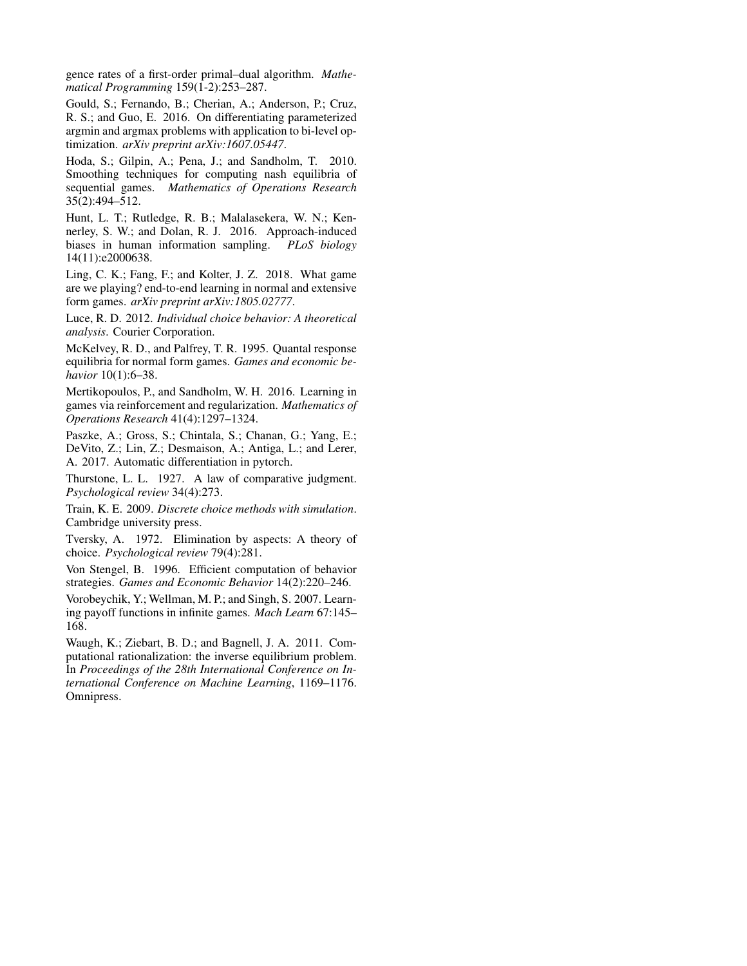gence rates of a first-order primal–dual algorithm. *Mathematical Programming* 159(1-2):253–287.

Gould, S.; Fernando, B.; Cherian, A.; Anderson, P.; Cruz, R. S.; and Guo, E. 2016. On differentiating parameterized argmin and argmax problems with application to bi-level optimization. *arXiv preprint arXiv:1607.05447*.

Hoda, S.; Gilpin, A.; Pena, J.; and Sandholm, T. 2010. Smoothing techniques for computing nash equilibria of sequential games. *Mathematics of Operations Research* 35(2):494–512.

Hunt, L. T.; Rutledge, R. B.; Malalasekera, W. N.; Kennerley, S. W.; and Dolan, R. J. 2016. Approach-induced biases in human information sampling. *PLoS biology* 14(11):e2000638.

Ling, C. K.; Fang, F.; and Kolter, J. Z. 2018. What game are we playing? end-to-end learning in normal and extensive form games. *arXiv preprint arXiv:1805.02777*.

Luce, R. D. 2012. *Individual choice behavior: A theoretical analysis*. Courier Corporation.

McKelvey, R. D., and Palfrey, T. R. 1995. Quantal response equilibria for normal form games. *Games and economic behavior* 10(1):6–38.

Mertikopoulos, P., and Sandholm, W. H. 2016. Learning in games via reinforcement and regularization. *Mathematics of Operations Research* 41(4):1297–1324.

Paszke, A.; Gross, S.; Chintala, S.; Chanan, G.; Yang, E.; DeVito, Z.; Lin, Z.; Desmaison, A.; Antiga, L.; and Lerer, A. 2017. Automatic differentiation in pytorch.

Thurstone, L. L. 1927. A law of comparative judgment. *Psychological review* 34(4):273.

Train, K. E. 2009. *Discrete choice methods with simulation*. Cambridge university press.

Tversky, A. 1972. Elimination by aspects: A theory of choice. *Psychological review* 79(4):281.

Von Stengel, B. 1996. Efficient computation of behavior strategies. *Games and Economic Behavior* 14(2):220–246.

Vorobeychik, Y.; Wellman, M. P.; and Singh, S. 2007. Learning payoff functions in infinite games. *Mach Learn* 67:145– 168.

Waugh, K.; Ziebart, B. D.; and Bagnell, J. A. 2011. Computational rationalization: the inverse equilibrium problem. In *Proceedings of the 28th International Conference on International Conference on Machine Learning*, 1169–1176. Omnipress.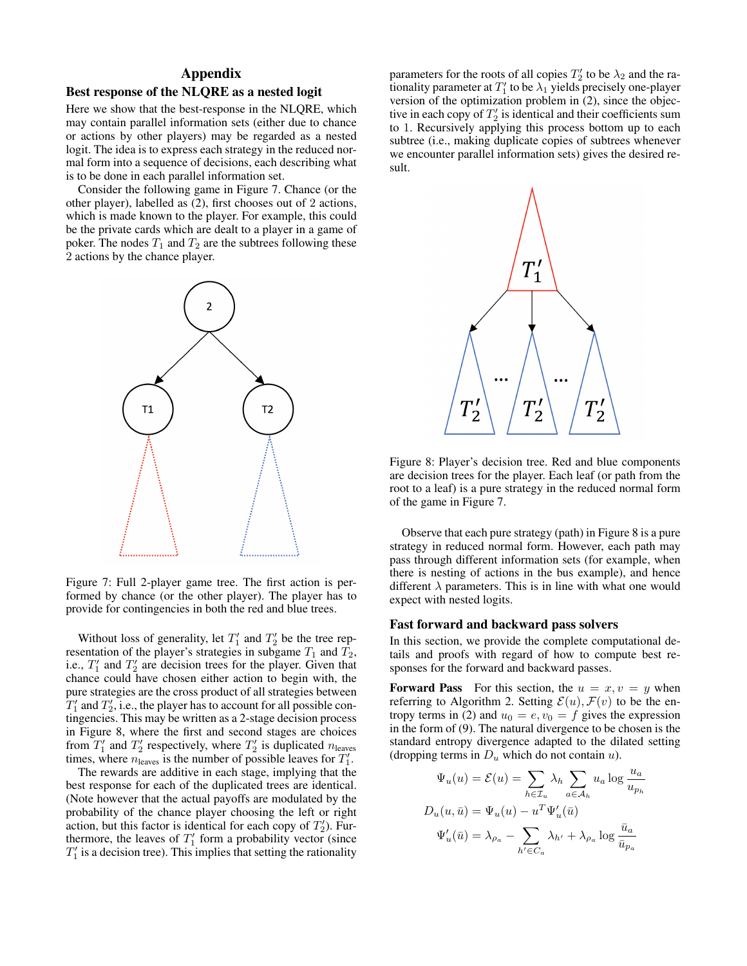# Appendix

#### Best response of the NLQRE as a nested logit

Here we show that the best-response in the NLQRE, which may contain parallel information sets (either due to chance or actions by other players) may be regarded as a nested logit. The idea is to express each strategy in the reduced normal form into a sequence of decisions, each describing what is to be done in each parallel information set.

Consider the following game in Figure 7. Chance (or the other player), labelled as (2), first chooses out of 2 actions, which is made known to the player. For example, this could be the private cards which are dealt to a player in a game of poker. The nodes  $T_1$  and  $T_2$  are the subtrees following these 2 actions by the chance player.



Figure 7: Full 2-player game tree. The first action is performed by chance (or the other player). The player has to provide for contingencies in both the red and blue trees.

Without loss of generality, let  $T_1'$  and  $T_2'$  be the tree representation of the player's strategies in subgame  $T_1$  and  $T_2$ , i.e.,  $T_1'$  and  $T_2'$  are decision trees for the player. Given that chance could have chosen either action to begin with, the pure strategies are the cross product of all strategies between  $T'_1$  and  $T'_2$ , i.e., the player has to account for all possible contingencies. This may be written as a 2-stage decision process in Figure 8, where the first and second stages are choices from  $T'_1$  and  $T'_2$  respectively, where  $T'_2$  is duplicated  $n_{\text{leaves}}$ times, where  $n_{\text{leaves}}$  is the number of possible leaves for  $T_1'$ .

The rewards are additive in each stage, implying that the best response for each of the duplicated trees are identical. (Note however that the actual payoffs are modulated by the probability of the chance player choosing the left or right action, but this factor is identical for each copy of  $T_2'$ ). Furthermore, the leaves of  $T_1'$  form a probability vector (since  $T_1'$  is a decision tree). This implies that setting the rationality

parameters for the roots of all copies  $T_2'$  to be  $\lambda_2$  and the rationality parameter at  $T_1'$  to be  $\lambda_1$  yields precisely one-player version of the optimization problem in (2), since the objective in each copy of  $T_2'$  is identical and their coefficients sum to 1. Recursively applying this process bottom up to each subtree (i.e., making duplicate copies of subtrees whenever we encounter parallel information sets) gives the desired result.



Figure 8: Player's decision tree. Red and blue components are decision trees for the player. Each leaf (or path from the root to a leaf) is a pure strategy in the reduced normal form of the game in Figure 7.

Observe that each pure strategy (path) in Figure 8 is a pure strategy in reduced normal form. However, each path may pass through different information sets (for example, when there is nesting of actions in the bus example), and hence different  $\lambda$  parameters. This is in line with what one would expect with nested logits.

#### Fast forward and backward pass solvers

In this section, we provide the complete computational details and proofs with regard of how to compute best responses for the forward and backward passes.

**Forward Pass** For this section, the  $u = x, v = y$  when referring to Algorithm 2. Setting  $\mathcal{E}(u)$ ,  $\mathcal{F}(v)$  to be the entropy terms in (2) and  $u_0 = e, v_0 = f$  gives the expression in the form of (9). The natural divergence to be chosen is the standard entropy divergence adapted to the dilated setting (dropping terms in  $D_u$  which do not contain u).

$$
\Psi_u(u) = \mathcal{E}(u) = \sum_{h \in \mathcal{I}_u} \lambda_h \sum_{a \in \mathcal{A}_h} u_a \log \frac{u_a}{u_{p_h}}
$$

$$
D_u(u, \bar{u}) = \Psi_u(u) - u^T \Psi'_u(\bar{u})
$$

$$
\Psi'_u(\bar{u}) = \lambda_{\rho_a} - \sum_{h' \in C_a} \lambda_{h'} + \lambda_{\rho_a} \log \frac{\bar{u}_a}{\bar{u}_{p_a}}
$$